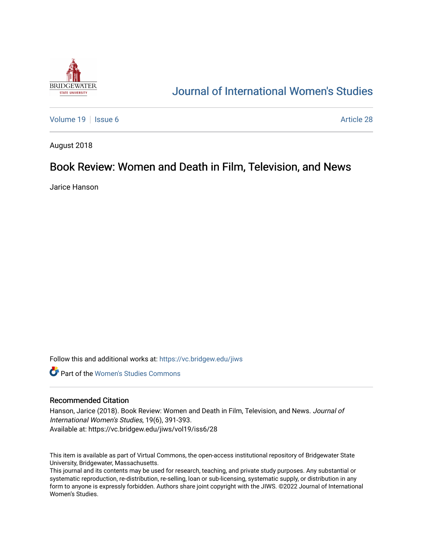

# [Journal of International Women's Studies](https://vc.bridgew.edu/jiws)

[Volume 19](https://vc.bridgew.edu/jiws/vol19) | [Issue 6](https://vc.bridgew.edu/jiws/vol19/iss6) Article 28

August 2018

## Book Review: Women and Death in Film, Television, and News

Jarice Hanson

Follow this and additional works at: [https://vc.bridgew.edu/jiws](https://vc.bridgew.edu/jiws?utm_source=vc.bridgew.edu%2Fjiws%2Fvol19%2Fiss6%2F28&utm_medium=PDF&utm_campaign=PDFCoverPages)

**C** Part of the Women's Studies Commons

#### Recommended Citation

Hanson, Jarice (2018). Book Review: Women and Death in Film, Television, and News. Journal of International Women's Studies, 19(6), 391-393. Available at: https://vc.bridgew.edu/jiws/vol19/iss6/28

This item is available as part of Virtual Commons, the open-access institutional repository of Bridgewater State University, Bridgewater, Massachusetts.

This journal and its contents may be used for research, teaching, and private study purposes. Any substantial or systematic reproduction, re-distribution, re-selling, loan or sub-licensing, systematic supply, or distribution in any form to anyone is expressly forbidden. Authors share joint copyright with the JIWS. ©2022 Journal of International Women's Studies.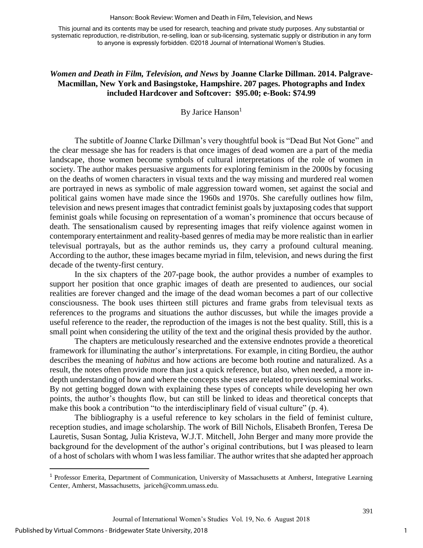#### Hanson: Book Review: Women and Death in Film, Television, and News

This journal and its contents may be used for research, teaching and private study purposes. Any substantial or systematic reproduction, re-distribution, re-selling, loan or sub-licensing, systematic supply or distribution in any form to anyone is expressly forbidden. ©2018 Journal of International Women's Studies.

### *Women and Death in Film, Television, and News* **by Joanne Clarke Dillman. 2014. Palgrave-Macmillan, New York and Basingstoke, Hampshire. 207 pages. Photographs and Index included Hardcover and Softcover: \$95.00; e-Book: \$74.99**

By Jarice Hanson $<sup>1</sup>$ </sup>

The subtitle of Joanne Clarke Dillman's very thoughtful book is "Dead But Not Gone" and the clear message she has for readers is that once images of dead women are a part of the media landscape, those women become symbols of cultural interpretations of the role of women in society. The author makes persuasive arguments for exploring feminism in the 2000s by focusing on the deaths of women characters in visual texts and the way missing and murdered real women are portrayed in news as symbolic of male aggression toward women, set against the social and political gains women have made since the 1960s and 1970s. She carefully outlines how film, television and news present images that contradict feminist goals by juxtaposing codes that support feminist goals while focusing on representation of a woman's prominence that occurs because of death. The sensationalism caused by representing images that reify violence against women in contemporary entertainment and reality-based genres of media may be more realistic than in earlier televisual portrayals, but as the author reminds us, they carry a profound cultural meaning. According to the author, these images became myriad in film, television, and news during the first decade of the twenty-first century.

In the six chapters of the 207-page book, the author provides a number of examples to support her position that once graphic images of death are presented to audiences, our social realities are forever changed and the image of the dead woman becomes a part of our collective consciousness. The book uses thirteen still pictures and frame grabs from televisual texts as references to the programs and situations the author discusses, but while the images provide a useful reference to the reader, the reproduction of the images is not the best quality. Still, this is a small point when considering the utility of the text and the original thesis provided by the author.

The chapters are meticulously researched and the extensive endnotes provide a theoretical framework for illuminating the author's interpretations. For example, in citing Bordieu, the author describes the meaning of *habitus* and how actions are become both routine and naturalized. As a result, the notes often provide more than just a quick reference, but also, when needed, a more indepth understanding of how and where the concepts she uses are related to previous seminal works. By not getting bogged down with explaining these types of concepts while developing her own points, the author's thoughts flow, but can still be linked to ideas and theoretical concepts that make this book a contribution "to the interdisciplinary field of visual culture" (p. 4).

The bibliography is a useful reference to key scholars in the field of feminist culture, reception studies, and image scholarship. The work of Bill Nichols, Elisabeth Bronfen, Teresa De Lauretis, Susan Sontag, Julia Kristeva, W.J.T. Mitchell, John Berger and many more provide the background for the development of the author's original contributions, but I was pleased to learn of a host of scholars with whom I was less familiar. The author writes that she adapted her approach

 $\overline{a}$ 

391

<sup>1</sup> Professor Emerita, Department of Communication, University of Massachusetts at Amherst, Integrative Learning Center, Amherst, Massachusetts, jariceh@comm.umass.edu.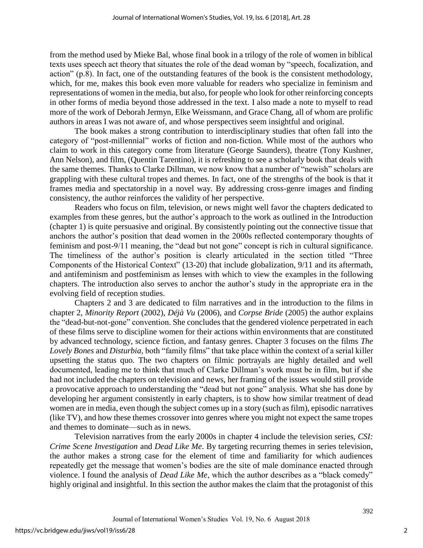from the method used by Mieke Bal, whose final book in a trilogy of the role of women in biblical texts uses speech act theory that situates the role of the dead woman by "speech, focalization, and action" (p.8). In fact, one of the outstanding features of the book is the consistent methodology, which, for me, makes this book even more valuable for readers who specialize in feminism and representations of women in the media, but also, for people who look for other reinforcing concepts in other forms of media beyond those addressed in the text. I also made a note to myself to read more of the work of Deborah Jermyn, Elke Weissmann, and Grace Chang, all of whom are prolific authors in areas I was not aware of, and whose perspectives seem insightful and original.

The book makes a strong contribution to interdisciplinary studies that often fall into the category of "post-millennial" works of fiction and non-fiction. While most of the authors who claim to work in this category come from literature (George Saunders), theatre (Tony Kushner, Ann Nelson), and film, (Quentin Tarentino), it is refreshing to see a scholarly book that deals with the same themes. Thanks to Clarke Dillman, we now know that a number of "newish" scholars are grappling with these cultural tropes and themes. In fact, one of the strengths of the book is that it frames media and spectatorship in a novel way. By addressing cross-genre images and finding consistency, the author reinforces the validity of her perspective.

Readers who focus on film, television, or news might well favor the chapters dedicated to examples from these genres, but the author's approach to the work as outlined in the Introduction (chapter 1) is quite persuasive and original. By consistently pointing out the connective tissue that anchors the author's position that dead women in the 2000s reflected contemporary thoughts of feminism and post-9/11 meaning, the "dead but not gone" concept is rich in cultural significance. The timeliness of the author's position is clearly articulated in the section titled "Three Components of the Historical Context" (13-20) that include globalization, 9/11 and its aftermath, and antifeminism and postfeminism as lenses with which to view the examples in the following chapters. The introduction also serves to anchor the author's study in the appropriate era in the evolving field of reception studies.

Chapters 2 and 3 are dedicated to film narratives and in the introduction to the films in chapter 2, *Minority Report* (2002), *Déjà Vu* (2006), and *Corpse Bride* (2005) the author explains the "dead-but-not-gone" convention. She concludes that the gendered violence perpetrated in each of these films serve to discipline women for their actions within environments that are constituted by advanced technology, science fiction, and fantasy genres. Chapter 3 focuses on the films *The Lovely Bones* and *Disturbia*, both "family films" that take place within the context of a serial killer upsetting the status quo. The two chapters on filmic portrayals are highly detailed and well documented, leading me to think that much of Clarke Dillman's work must be in film, but if she had not included the chapters on television and news, her framing of the issues would still provide a provocative approach to understanding the "dead but not gone" analysis. What she has done by developing her argument consistently in early chapters, is to show how similar treatment of dead women are in media, even though the subject comes up in a story (such as film), episodic narratives (like TV), and how these themes crossover into genres where you might not expect the same tropes and themes to dominate—such as in news.

Television narratives from the early 2000s in chapter 4 include the television series, *CSI: Crime Scene Investigation* and *Dead Like Me*. By targeting recurring themes in series television, the author makes a strong case for the element of time and familiarity for which audiences repeatedly get the message that women's bodies are the site of male dominance enacted through violence. I found the analysis of *Dead Like Me*, which the author describes as a "black comedy" highly original and insightful. In this section the author makes the claim that the protagonist of this

2